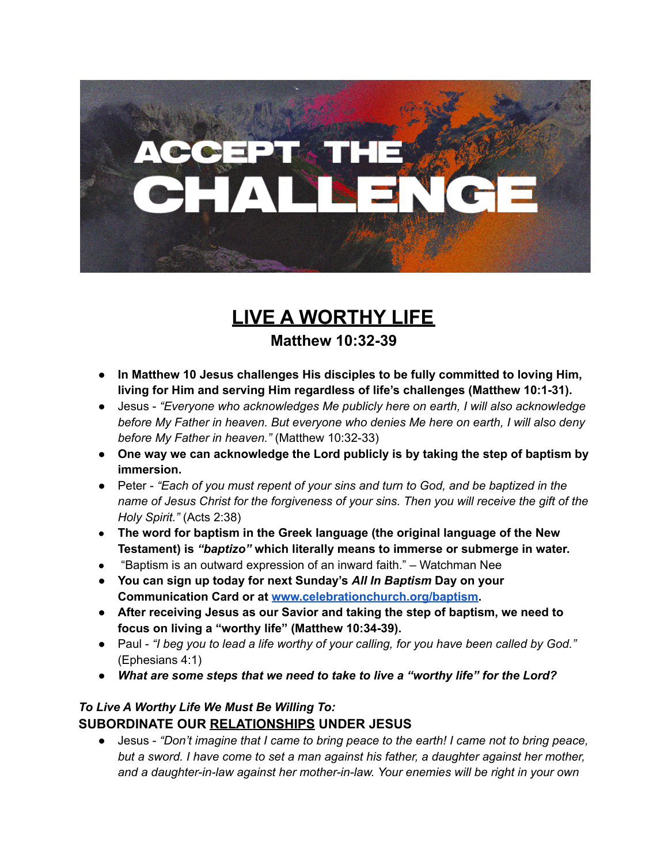

## **LIVE A WORTHY LIFE**

**Matthew 10:32-39**

- **● In Matthew 10 Jesus challenges His disciples to be fully committed to loving Him, living for Him and serving Him regardless of life's challenges (Matthew 10:1-31).**
- **●** Jesus *"Everyone who acknowledges Me publicly here on earth, I will also acknowledge before My Father in heaven. But everyone who denies Me here on earth, I will also deny before My Father in heaven."* (Matthew 10:32-33)
- **● One way we can acknowledge the Lord publicly is by taking the step of baptism by immersion.**
- *●* Peter *"Each of you must repent of your sins and turn to God, and be baptized in the name of Jesus Christ for the forgiveness of your sins. Then you will receive the gift of the Holy Spirit."* (Acts 2:38)
- **● The word for baptism in the Greek language (the original language of the New Testament) is** *"baptizo"* **which literally means to immerse or submerge in water.**
- "Baptism is an outward expression of an inward faith." Watchman Nee
- **● You can sign up today for next Sunday's** *All In Baptism* **Day on your Communication Card or at [www.celebrationchurch.org/baptism.](http://www.celebrationchurch.org/baptism)**
- *●* **After receiving Jesus as our Savior and taking the step of baptism, we need to focus on living a "worthy life" (Matthew 10:34-39).**
- Paul "I beg you to lead a life worthy of your calling, for you have been called by God." (Ephesians 4:1)
- *● What are some steps that we need to take to live a "worthy life" for the Lord?*

## *To Live A Worthy Life We Must Be Willing To:* **SUBORDINATE OUR RELATIONSHIPS UNDER JESUS**

● Jesus - *"Don't imagine that I came to bring peace to the earth! I came not to bring peace, but a sword. I have come to set a man against his father, a daughter against her mother, and a daughter-in-law against her mother-in-law. Your enemies will be right in your own*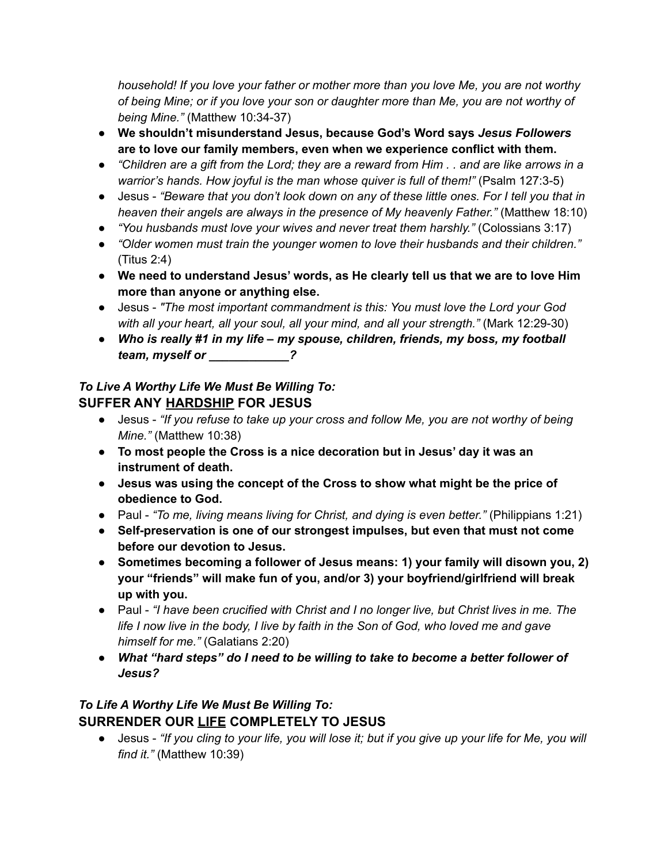*household! If you love your father or mother more than you love Me, you are not worthy of being Mine; or if you love your son or daughter more than Me, you are not worthy of being Mine."* (Matthew 10:34-37)

- **● We shouldn't misunderstand Jesus, because God's Word says** *Jesus Followers* **are to love our family members, even when we experience conflict with them.**
- "Children are a gift from the Lord; they are a reward from Him . . and are like arrows in a *warrior's hands. How joyful is the man whose quiver is full of them!"* (Psalm 127:3-5)
- Jesus "Beware that you don't look down on any of these little ones. For I tell you that in *heaven their angels are always in the presence of My heavenly Father."* (Matthew 18:10)
- *"You husbands must love your wives and never treat them harshly."* (Colossians 3:17)
- *"Older women must train the younger women to love their husbands and their children."* (Titus 2:4)
- **● We need to understand Jesus' words, as He clearly tell us that we are to love Him more than anyone or anything else.**
- Jesus *"The most important commandment is this: You must love the Lord your God with all your heart, all your soul, all your mind, and all your strength."* (Mark 12:29-30)
- *Who is really #1 in my life – my spouse, children, friends, my boss, my football team, myself or \_\_\_\_\_\_\_\_\_\_\_\_?*

## *To Live A Worthy Life We Must Be Willing To:* **SUFFER ANY HARDSHIP FOR JESUS**

- Jesus *"If you refuse to take up your cross and follow Me, you are not worthy of being Mine."* (Matthew 10:38)
- **To most people the Cross is a nice decoration but in Jesus' day it was an instrument of death.**
- **Jesus was using the concept of the Cross to show what might be the price of obedience to God.**
- Paul *"To me, living means living for Christ, and dying is even better."* (Philippians 1:21)
- **● Self-preservation is one of our strongest impulses, but even that must not come before our devotion to Jesus.**
- **● Sometimes becoming a follower of Jesus means: 1) your family will disown you, 2) your "friends" will make fun of you, and/or 3) your boyfriend/girlfriend will break up with you.**
- *●* Paul *"I have been crucified with Christ and I no longer live, but Christ lives in me. The* life I now live in the body, I live by faith in the Son of God, who loved me and gave *himself for me."* (Galatians 2:20)
- *What "hard steps" do I need to be willing to take to become a better follower of Jesus?*

## *To Life A Worthy Life We Must Be Willing To:* **SURRENDER OUR LIFE COMPLETELY TO JESUS**

• Jesus - "If you cling to your life, you will lose it; but if you give up your life for Me, you will *find it."* (Matthew 10:39)